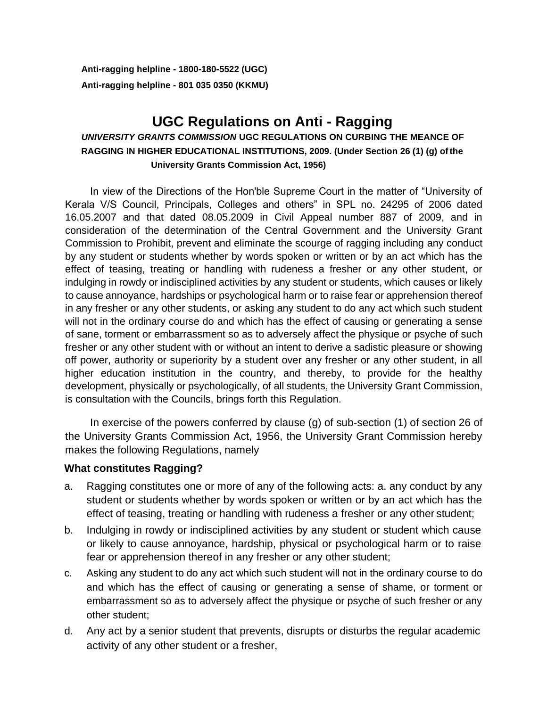**Anti-ragging helpline - 1800-180-5522 (UGC) Anti-ragging helpline - 801 035 0350 (KKMU)**

# **UGC Regulations on Anti - Ragging** *UNIVERSITY GRANTS COMMISSION* **UGC REGULATIONS ON CURBING THE MEANCE OF RAGGING IN HIGHER EDUCATIONAL INSTITUTIONS, 2009. (Under Section 26 (1) (g) ofthe**

**University Grants Commission Act, 1956)**

In view of the Directions of the Hon'ble Supreme Court in the matter of "University of Kerala V/S Council, Principals, Colleges and others" in SPL no. 24295 of 2006 dated 16.05.2007 and that dated 08.05.2009 in Civil Appeal number 887 of 2009, and in consideration of the determination of the Central Government and the University Grant Commission to Prohibit, prevent and eliminate the scourge of ragging including any conduct by any student or students whether by words spoken or written or by an act which has the effect of teasing, treating or handling with rudeness a fresher or any other student, or indulging in rowdy or indisciplined activities by any student or students, which causes or likely to cause annoyance, hardships or psychological harm or to raise fear or apprehension thereof in any fresher or any other students, or asking any student to do any act which such student will not in the ordinary course do and which has the effect of causing or generating a sense of sane, torment or embarrassment so as to adversely affect the physique or psyche of such fresher or any other student with or without an intent to derive a sadistic pleasure or showing off power, authority or superiority by a student over any fresher or any other student, in all higher education institution in the country, and thereby, to provide for the healthy development, physically or psychologically, of all students, the University Grant Commission, is consultation with the Councils, brings forth this Regulation.

In exercise of the powers conferred by clause (g) of sub-section (1) of section 26 of the University Grants Commission Act, 1956, the University Grant Commission hereby makes the following Regulations, namely

## **What constitutes Ragging?**

- a. Ragging constitutes one or more of any of the following acts: a. any conduct by any student or students whether by words spoken or written or by an act which has the effect of teasing, treating or handling with rudeness a fresher or any other student;
- b. Indulging in rowdy or indisciplined activities by any student or student which cause or likely to cause annoyance, hardship, physical or psychological harm or to raise fear or apprehension thereof in any fresher or any other student;
- c. Asking any student to do any act which such student will not in the ordinary course to do and which has the effect of causing or generating a sense of shame, or torment or embarrassment so as to adversely affect the physique or psyche of such fresher or any other student;
- d. Any act by a senior student that prevents, disrupts or disturbs the regular academic activity of any other student or a fresher,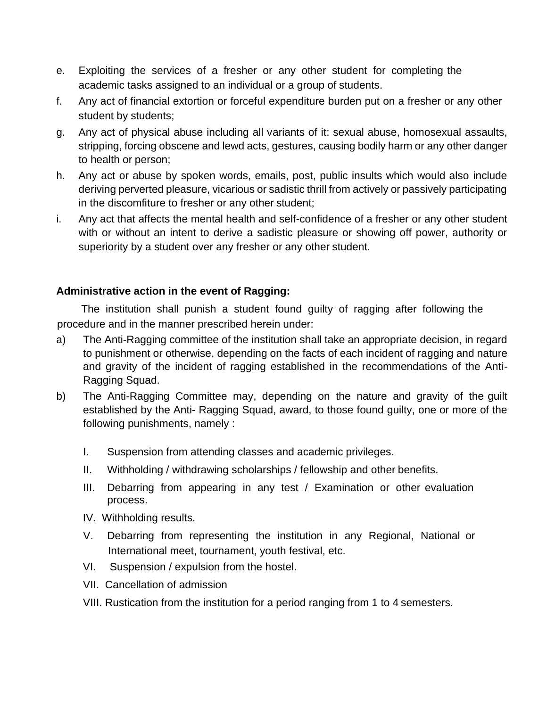- e. Exploiting the services of a fresher or any other student for completing the academic tasks assigned to an individual or a group of students.
- f. Any act of financial extortion or forceful expenditure burden put on a fresher or any other student by students;
- g. Any act of physical abuse including all variants of it: sexual abuse, homosexual assaults, stripping, forcing obscene and lewd acts, gestures, causing bodily harm or any other danger to health or person;
- h. Any act or abuse by spoken words, emails, post, public insults which would also include deriving perverted pleasure, vicarious or sadistic thrill from actively or passively participating in the discomfiture to fresher or any other student;
- i. Any act that affects the mental health and self-confidence of a fresher or any other student with or without an intent to derive a sadistic pleasure or showing off power, authority or superiority by a student over any fresher or any other student.

## **Administrative action in the event of Ragging:**

The institution shall punish a student found guilty of ragging after following the procedure and in the manner prescribed herein under:

- a) The Anti-Ragging committee of the institution shall take an appropriate decision, in regard to punishment or otherwise, depending on the facts of each incident of ragging and nature and gravity of the incident of ragging established in the recommendations of the Anti-Ragging Squad.
- b) The Anti-Ragging Committee may, depending on the nature and gravity of the guilt established by the Anti- Ragging Squad, award, to those found guilty, one or more of the following punishments, namely :
	- I. Suspension from attending classes and academic privileges.
	- II. Withholding / withdrawing scholarships / fellowship and other benefits.
	- III. Debarring from appearing in any test / Examination or other evaluation process.
	- IV. Withholding results.
	- V. Debarring from representing the institution in any Regional, National or International meet, tournament, youth festival, etc.
	- VI. Suspension / expulsion from the hostel.
	- VII. Cancellation of admission
	- VIII. Rustication from the institution for a period ranging from 1 to 4 semesters.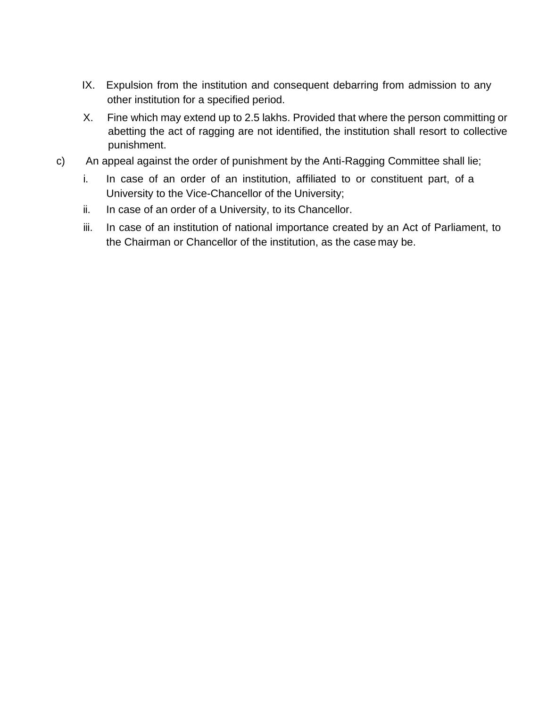- IX. Expulsion from the institution and consequent debarring from admission to any other institution for a specified period.
- X. Fine which may extend up to 2.5 lakhs. Provided that where the person committing or abetting the act of ragging are not identified, the institution shall resort to collective punishment.
- c) An appeal against the order of punishment by the Anti-Ragging Committee shall lie;
	- i. In case of an order of an institution, affiliated to or constituent part, of a University to the Vice-Chancellor of the University;
	- ii. In case of an order of a University, to its Chancellor.
	- iii. In case of an institution of national importance created by an Act of Parliament, to the Chairman or Chancellor of the institution, as the case may be.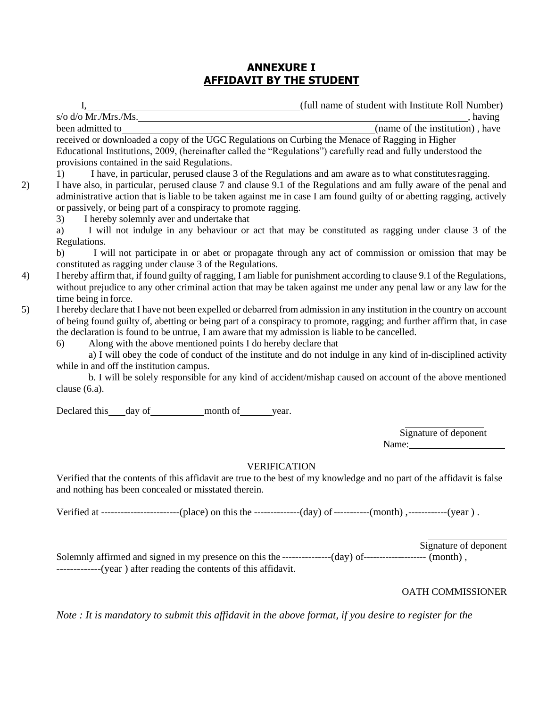## **ANNEXURE I AFFIDAVIT BY THE STUDENT**

I, (full name of student with Institute Roll Number) s/o d/o Mr./Mrs./Ms.  $\blacksquare$ been admitted to (name of the institution) , have received or downloaded a copy of the UGC Regulations on Curbing the Menace of Ragging in Higher Educational Institutions, 2009, (hereinafter called the "Regulations") carefully read and fully understood the provisions contained in the said Regulations. 1) I have, in particular, perused clause 3 of the Regulations and am aware as to what constitutesragging. 2) I have also, in particular, perused clause 7 and clause 9.1 of the Regulations and am fully aware of the penal and administrative action that is liable to be taken against me in case I am found guilty of or abetting ragging, actively or passively, or being part of a conspiracy to promote ragging. 3) I hereby solemnly aver and undertake that

a) I will not indulge in any behaviour or act that may be constituted as ragging under clause 3 of the Regulations.

b) I will not participate in or abet or propagate through any act of commission or omission that may be constituted as ragging under clause 3 of the Regulations.

- 4) I hereby affirm that, if found guilty of ragging, I am liable for punishment according to clause 9.1 of the Regulations, without prejudice to any other criminal action that may be taken against me under any penal law or any law for the time being in force.
- 5) I hereby declare that I have not been expelled or debarred from admission in any institution in the country on account of being found guilty of, abetting or being part of a conspiracy to promote, ragging; and further affirm that, in case the declaration is found to be untrue, I am aware that my admission is liable to be cancelled.

6) Along with the above mentioned points I do hereby declare that

a) I will obey the code of conduct of the institute and do not indulge in any kind of in-disciplined activity while in and off the institution campus.

b. I will be solely responsible for any kind of accident/mishap caused on account of the above mentioned clause (6.a).

Declared this day of month of year.

Signature of deponent Name:

### VERIFICATION

Verified that the contents of this affidavit are true to the best of my knowledge and no part of the affidavit is false and nothing has been concealed or misstated therein.

Verified at ------------------------(place) on this the --------------(day) of-----------(month) ,------------(year ) .

Signature of deponent Solemnly affirmed and signed in my presence on this the -----------------(day) of--------------------- (month), -------------(year ) after reading the contents of this affidavit.

### OATH COMMISSIONER

*Note : It is mandatory to submit this affidavit in the above format, if you desire to register for the*